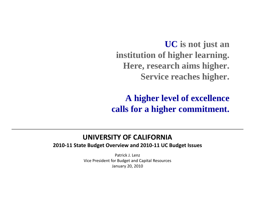**UC is not just an institution of higher learning. Here, research aims higher. Service reaches higher.**

**A higher level of excellence calls for <sup>a</sup> higher commitment.**

#### **UNIVERSITY OF CALIFORNIA**

**2010‐11 State Budget Overview and 2010‐11 UC Budget Issues**

Patrick J. Lenz Vice President for Budget and Capital Resources January 20, 2010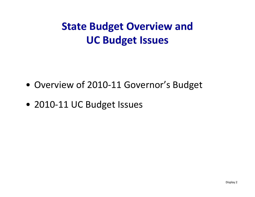## **State Budget Overview and UC Budget Issues**

- Overview of 2010-11 Governor's Budget
- 2010‐11 UC Budget Issues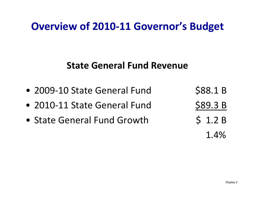#### **State General Fund Revenue**

- 2009-10 State General Fund \$88.1 B
- 2010-11 State General Fund \$89.3 B
- State General Fund Growth \$ 1.2 B
- 1 4%.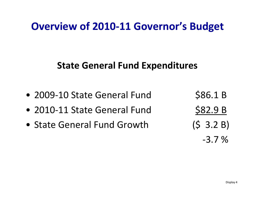#### **State General Fund Expenditures**

- 2009-10 State General Fund \$86.1 B
- 2010‐11 State General Fund
- State General Fund

\$82.9 B  $(S \t3.2 B)$ ‐3.7 %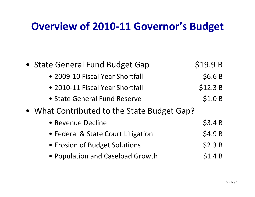| • State General Fund Budget Gap             | \$19.9B |
|---------------------------------------------|---------|
| • 2009-10 Fiscal Year Shortfall             | \$6.6B  |
| • 2010-11 Fiscal Year Shortfall             | \$12.3B |
| • State General Fund Reserve                | \$1.0 B |
| • What Contributed to the State Budget Gap? |         |
| • Revenue Decline                           | \$3.4B  |
| • Federal & State Court Litigation          | \$4.9 B |
| • Erosion of Budget Solutions               | \$2.3 B |
| • Population and Caseload Growth            | \$1.4B  |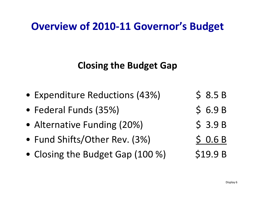#### **Closing the Budget Gap**

- •Expenditure Reductions (43%) \$ 8.5 B
- •• Federal Funds (35%) \$ 6.9 B
- Alternative Funding (20%) \$3.9 B
- Fund Shifts/Other Rev.  $(3\%)$   $\begin{array}{cc} \angle & \triangleleft$  0.6 B
- •Closing the Budget Gap  $(100\%)$  \$19.9 B
-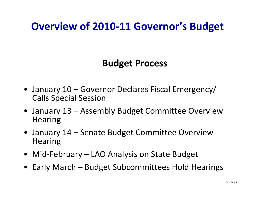#### **Bd t u ge Process**

- January 10 Governor Declares Fiscal Emergency/ Calls Special Session
- January 13 Assembly Budget Committee Overview **Hearing**
- January 14 Senate Budget Committee Overview **Hearing**
- Mid‐February LAO Analysis on State Budget
- Early March Budget Subcommittees Hold Hearings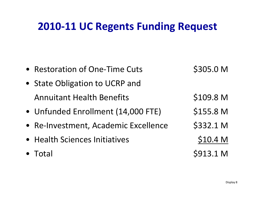#### **2010‐11 UC Regents Funding Request**

| • Restoration of One-Time Cuts       | \$305.0 M           |
|--------------------------------------|---------------------|
| • State Obligation to UCRP and       |                     |
| <b>Annuitant Health Benefits</b>     | \$109.8 M           |
| • Unfunded Enrollment (14,000 FTE)   | \$155.8 M           |
| • Re-Investment, Academic Excellence | \$332.1 M           |
| • Health Sciences Initiatives        | \$10.4 <sub>M</sub> |
| • Total                              | \$913.1 M           |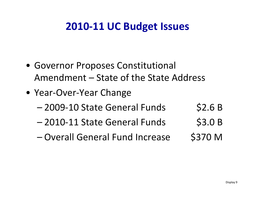#### **2010‐11 UC Budget Issues**

- Governor Proposes Constitutional Amendment – State of the State Address
- Year‐Over‐Year Change
	- –2009‐10 State General Funds \$2.6 B
	- 2010-11 State General Funds \$3.0 B
	- – $-$  Overall General Fund Increase \$370 M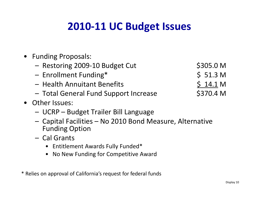## **2010‐11 UC Budget Issues**

- Funding Proposals:
	- –– Restoring 2009-10 Budget Cut \$305.0 M
	- Enrollment Funding\* \$ 51.3 <sup>M</sup>
	- Health Annuitant Benefits \$ 14.1 M
	- Total General Fund Support Increase \$370.4 <sup>M</sup>

- Other Issues:
	- UCRP Budget Trailer Bill Language
	- – Capital Facilities – No 2010 Bond Measure, Alternative Funding Option
	- Cal Grants
		- Entitlement Awards Fully Funded\*
		- No New Funding for Competitive Award

\* Relies on approval of California's request for federal funds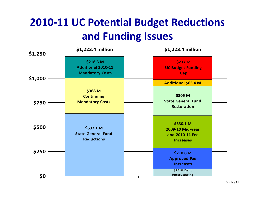## **2010‐11 UC Potential Budget Reductions and Funding Issues**

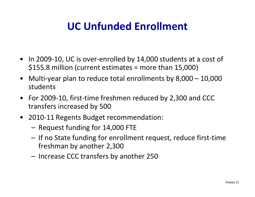## **UC Unfunded Enrollment**

- In 2009-10, UC is over-enrolled by 14,000 students at a cost of \$155.8 million (current estimates <sup>=</sup> more than 15,000)
- • Multi‐year plan to reduce total enrollments by 8,000 – 10,000 students
- • For 2009‐10, first‐time freshmen reduced by 2,300 and CCC transfers increased by 500
- 2010‐11 Regents Budget recommendation:
	- –Request funding for 14,000 FTE
	- If no State funding for enrollment request, reduce first-time freshman by another 2,300
	- Increase CCC transfers by another 250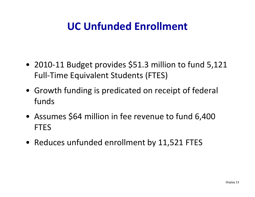## **UC Unfunded Enrollment**

- 2010‐11 Budget provides \$51.3 million to fund 5,121 Full‐Time Equivalent Students (FTES)
- Growth funding is predicated on receipt of federal funds
- Assumes \$64 million in fee revenue to fund 6,400 FTES
- Reduces unfunded enrollment by 11,521 FTES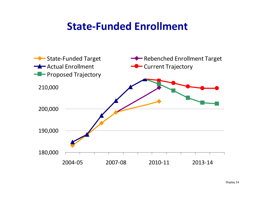#### **State‐Funded Enrollment**

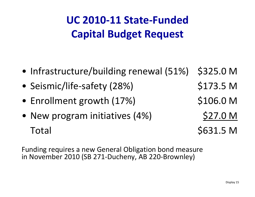# **UC 2010‐11 State‐FundedCapital Budget Request**

- •Infrastructure/building renewal (51%) \$325.0 <sup>M</sup>
- •• Seismic/life-safety (28%) \$173.5 M
- Enrollment growth (17%) \$106.0 M
- New program initiatives (4%)  $\leq$  27.0 M  $\sigma$ Total  $\sim$  5631.5 M

Funding requires <sup>a</sup> new General Obligation bond measure in November 2010 (SB 271-Ducheny, AB 220-Brownley)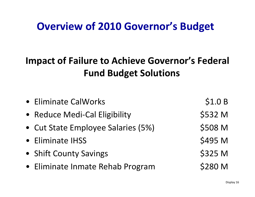#### **Impact of Failure to Achieve Governor's Federal Fund Budget Solutions**

| • Eliminate CalWorks               | \$1.0 B |
|------------------------------------|---------|
| • Reduce Medi-Cal Eligibility      | \$532 M |
| • Cut State Employee Salaries (5%) | \$508 M |
| • Eliminate IHSS                   | \$495 M |
| • Shift County Savings             | \$325 M |
| • Eliminate Inmate Rehab Program   | \$280 M |